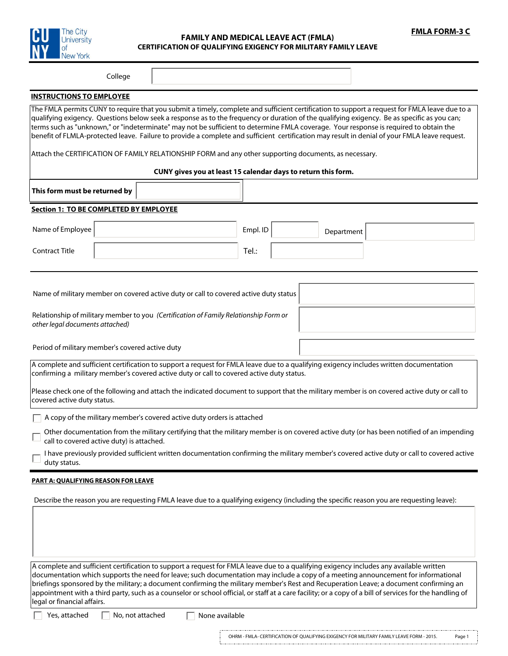



## **FAMILY AND MEDICAL LEAVE ACT (FMLA) CERTIFICATION OF QUALIFYING EXIGENCY FOR MILITARY FAMILY LEAVE**

College

 $\vert \mathbf{v} \vert$ 

### **INSTRUCTIONS TO EMPLOYEE**

The FMLA permits CUNY to require that you submit a timely, complete and sufficient certification to support a request for FMLA leave due to a qualifying exigency. Questions below seek a response as to the frequency or duration of the qualifying exigency. Be as specific as you can; terms such as "unknown," or "indeterminate" may not be sufficient to determine FMLA coverage. Your response is required to obtain the benefit of FLMLA-protected leave. Failure to provide a complete and sufficient certification may result in denial of your FMLA leave request.

Attach the CERTIFICATION OF FAMILY RELATIONSHIP FORM and any other supporting documents, as necessary.

### **CUNY gives you at least 15 calendar days to return this form.**

| This form must be returned by                                                                                                                                                                                                        |          |            |  |  |  |  |
|--------------------------------------------------------------------------------------------------------------------------------------------------------------------------------------------------------------------------------------|----------|------------|--|--|--|--|
| <b>Section 1: TO BE COMPLETED BY EMPLOYEE</b>                                                                                                                                                                                        |          |            |  |  |  |  |
| Name of Employee                                                                                                                                                                                                                     | Empl. ID | Department |  |  |  |  |
| <b>Contract Title</b>                                                                                                                                                                                                                | Tel.:    |            |  |  |  |  |
|                                                                                                                                                                                                                                      |          |            |  |  |  |  |
| Name of military member on covered active duty or call to covered active duty status                                                                                                                                                 |          |            |  |  |  |  |
| Relationship of military member to you (Certification of Family Relationship Form or<br>other legal documents attached)                                                                                                              |          |            |  |  |  |  |
| Period of military member's covered active duty                                                                                                                                                                                      |          |            |  |  |  |  |
| A complete and sufficient certification to support a request for FMLA leave due to a qualifying exigency includes written documentation<br>confirming a military member's covered active duty or call to covered active duty status. |          |            |  |  |  |  |

Please check one of the following and attach the indicated document to support that the military member is on covered active duty or call to covered active duty status.

A copy of the military member's covered active duty orders is attached

Other documentation from the military certifying that the military member is on covered active duty (or has been notified of an impending call to covered active duty) is attached.

I have previously provided sufficient written documentation confirming the military member's covered active duty or call to covered active duty status.

#### **PART A: QUALIFYING REASON FOR LEAVE**

Describe the reason you are requesting FMLA leave due to a qualifying exigency (including the specific reason you are requesting leave):

A complete and sufficient certification to support a request for FMLA leave due to a qualifying exigency includes any available written documentation which supports the need for leave; such documentation may include a copy of a meeting announcement for informational briefings sponsored by the military; a document confirming the military member's Rest and Recuperation Leave; a document confirming an appointment with a third party, such as a counselor or school official, or staff at a care facility; or a copy of a bill of services for the handling of legal or financial affairs.

Yes, attached  $\Box$  No, not attached  $\Box$  None available